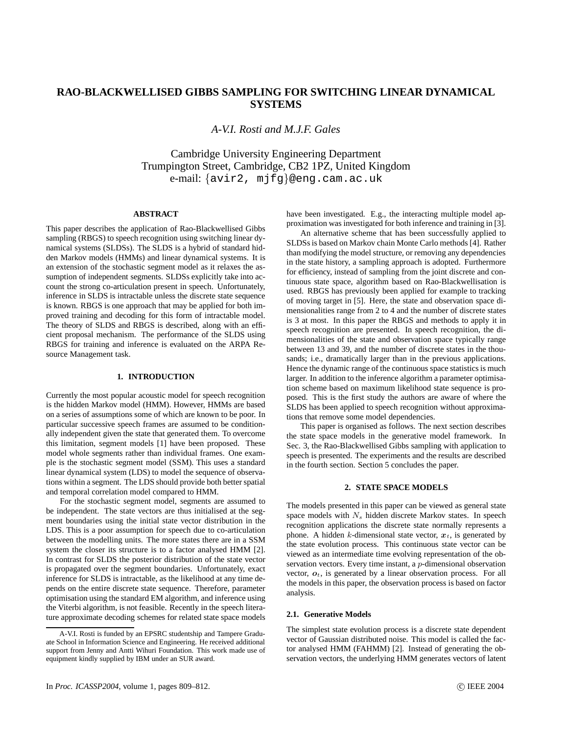# **RAO-BLACKWELLISED GIBBS SAMPLING FOR SWITCHING LINEAR DYNAMICAL SYSTEMS**

*A-V.I. Rosti and M.J.F. Gales*

Cambridge University Engineering Department Trumpington Street, Cambridge, CB2 1PZ, United Kingdom e-mail: {avir2, mjfg}@eng.cam.ac.uk

# **ABSTRACT**

This paper describes the application of Rao-Blackwellised Gibbs sampling (RBGS) to speech recognition using switching linear dynamical systems (SLDSs). The SLDS is a hybrid of standard hidden Markov models (HMMs) and linear dynamical systems. It is an extension of the stochastic segment model as it relaxes the assumption of independent segments. SLDSs explicitly take into account the strong co-articulation present in speech. Unfortunately, inference in SLDS is intractable unless the discrete state sequence is known. RBGS is one approach that may be applied for both improved training and decoding for this form of intractable model. The theory of SLDS and RBGS is described, along with an efficient proposal mechanism. The performance of the SLDS using RBGS for training and inference is evaluated on the ARPA Resource Management task.

# **1. INTRODUCTION**

Currently the most popular acoustic model for speech recognition is the hidden Markov model (HMM). However, HMMs are based on a series of assumptions some of which are known to be poor. In particular successive speech frames are assumed to be conditionally independent given the state that generated them. To overcome this limitation, segment models [1] have been proposed. These model whole segments rather than individual frames. One example is the stochastic segment model (SSM). This uses a standard linear dynamical system (LDS) to model the sequence of observations within a segment. The LDS should provide both better spatial and temporal correlation model compared to HMM.

For the stochastic segment model, segments are assumed to be independent. The state vectors are thus initialised at the segment boundaries using the initial state vector distribution in the LDS. This is a poor assumption for speech due to co-articulation between the modelling units. The more states there are in a SSM system the closer its structure is to a factor analysed HMM [2]. In contrast for SLDS the posterior distribution of the state vector is propagated over the segment boundaries. Unfortunately, exact inference for SLDS is intractable, as the likelihood at any time depends on the entire discrete state sequence. Therefore, parameter optimisation using the standard EM algorithm, and inference using the Viterbi algorithm, is not feasible. Recently in the speech literature approximate decoding schemes for related state space models

have been investigated. E.g., the interacting multiple model approximation was investigated for both inference and training in [3].

An alternative scheme that has been successfully applied to SLDSsis based on Markov chain Monte Carlo methods [4]. Rather than modifying the model structure, or removing any dependencies in the state history, a sampling approach is adopted. Furthermore for efficiency, instead of sampling from the joint discrete and continuous state space, algorithm based on Rao-Blackwellisation is used. RBGS has previously been applied for example to tracking of moving target in [5]. Here, the state and observation space dimensionalities range from 2 to 4 and the number of discrete states is 3 at most. In this paper the RBGS and methods to apply it in speech recognition are presented. In speech recognition, the dimensionalities of the state and observation space typically range between 13 and 39, and the number of discrete states in the thousands; i.e., dramatically larger than in the previous applications. Hence the dynamic range of the continuous space statistics is much larger. In addition to the inference algorithm a parameter optimisation scheme based on maximum likelihood state sequence is proposed. This is the first study the authors are aware of where the SLDS has been applied to speech recognition without approximations that remove some model dependencies.

This paper is organised as follows. The next section describes the state space models in the generative model framework. In Sec. 3, the Rao-Blackwellised Gibbs sampling with application to speech is presented. The experiments and the results are described in the fourth section. Section 5 concludes the paper.

## **2. STATE SPACE MODELS**

The models presented in this paper can be viewed as general state space models with  $N_s$  hidden discrete Markov states. In speech recognition applications the discrete state normally represents a phone. A hidden k-dimensional state vector,  $x_t$ , is generated by the state evolution process. This continuous state vector can be viewed as an intermediate time evolving representation of the observation vectors. Every time instant, a p-dimensional observation vector,  $o_t$ , is generated by a linear observation process. For all the models in this paper, the observation process is based on factor analysis.

#### **2.1. Generative Models**

The simplest state evolution process is a discrete state dependent vector of Gaussian distributed noise. This model is called the factor analysed HMM (FAHMM) [2]. Instead of generating the observation vectors, the underlying HMM generates vectors of latent

A-V.I. Rosti is funded by an EPSRC studentship and Tampere Graduate School in Information Science and Engineering. He received additional support from Jenny and Antti Wihuri Foundation. This work made use of equipment kindly supplied by IBM under an SUR award.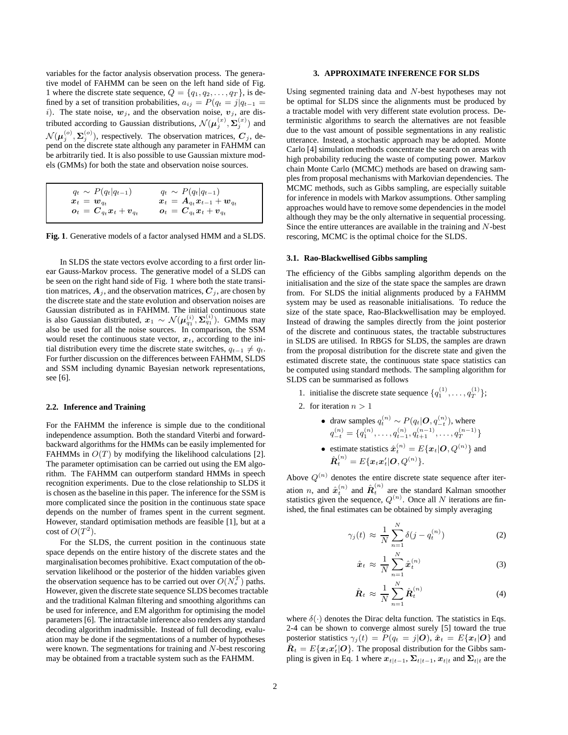variables for the factor analysis observation process. The generative model of FAHMM can be seen on the left hand side of Fig. 1 where the discrete state sequence,  $Q = \{q_1, q_2, \ldots, q_T\}$ , is defined by a set of transition probabilities,  $a_{ij} = P(q_t = j|q_{t-1})$ i). The state noise,  $w_j$ , and the observation noise,  $v_j$ , are distributed according to Gaussian distributions,  $\mathcal{N}(\boldsymbol{\mu}_j^{(x)}, \boldsymbol{\Sigma}_j^{(x)})$  and  $\mathcal{N}(\boldsymbol{\mu}_j^{(o)},\boldsymbol{\Sigma}_j^{(o)})$ , respectively. The observation matrices,  $\boldsymbol{C}_j$ , depend on the discrete state although any parameter in FAHMM can be arbitrarily tied. It is also possible to use Gaussian mixture models (GMMs) for both the state and observation noise sources.

| $q_t \sim P(q_t q_{t-1})$                         | $q_t \sim P(q_t q_{t-1})$                                                             |
|---------------------------------------------------|---------------------------------------------------------------------------------------|
| $\boldsymbol{x}_t = \boldsymbol{w}_{a_t}$         | $\bm{x}_t = \bm{A}_{q_t} \bm{x}_{t-1} + \bm{w}_{q_t}$                                 |
| $\bm{o}_t = \bm{C}_{q_t} \bm{x}_t + \bm{v}_{q_t}$ | $\boldsymbol{o}_t \,=\, \boldsymbol{C}_{q_t} \boldsymbol{x}_t + \boldsymbol{v}_{q_t}$ |

**Fig. 1**. Generative models of a factor analysed HMM and a SLDS.

In SLDS the state vectors evolve according to a first order linear Gauss-Markov process. The generative model of a SLDS can be seen on the right hand side of Fig. 1 where both the state transition matrices,  $A_j$ , and the observation matrices,  $C_j$ , are chosen by the discrete state and the state evolution and observation noises are Gaussian distributed as in FAHMM. The initial continuous state is also Gaussian distributed,  $x_1 \sim \mathcal{N}(\mu_{q_1}^{(i)}, \Sigma_{q_1}^{(i)})$ . GMMs may also be used for all the noise sources. In comparison, the SSM would reset the continuous state vector,  $x_t$ , according to the initial distribution every time the discrete state switches,  $q_{t-1} \neq q_t$ . For further discussion on the differences between FAHMM, SLDS and SSM including dynamic Bayesian network representations, see [6].

# **2.2. Inference and Training**

For the FAHMM the inference is simple due to the conditional independence assumption. Both the standard Viterbi and forwardbackward algorithms for the HMMs can be easily implemented for FAHMMs in  $O(T)$  by modifying the likelihood calculations [2]. The parameter optimisation can be carried out using the EM algorithm. The FAHMM can outperform standard HMMs in speech recognition experiments. Due to the close relationship to SLDS it is chosen as the baseline in this paper. The inference for the SSM is more complicated since the position in the continuous state space depends on the number of frames spent in the current segment. However, standard optimisation methods are feasible [1], but at a cost of  $O(T^2)$ .

For the SLDS, the current position in the continuous state space depends on the entire history of the discrete states and the marginalisation becomes prohibitive. Exact computation of the observation likelihood or the posterior of the hidden variables given the observation sequence has to be carried out over  $O(N_s^T)$  paths. However, given the discrete state sequence SLDS becomes tractable and the traditional Kalman filtering and smoothing algorithms can be used for inference, and EM algorithm for optimising the model parameters [6]. The intractable inference also renders any standard decoding algorithm inadmissible. Instead of full decoding, evaluation may be done if the segmentations of a number of hypotheses were known. The segmentations for training and N-best rescoring may be obtained from a tractable system such as the FAHMM.

#### **3. APPROXIMATE INFERENCE FOR SLDS**

Using segmented training data and N-best hypotheses may not be optimal for SLDS since the alignments must be produced by a tractable model with very different state evolution process. Deterministic algorithms to search the alternatives are not feasible due to the vast amount of possible segmentations in any realistic utterance. Instead, a stochastic approach may be adopted. Monte Carlo [4] simulation methods concentrate the search on areas with high probability reducing the waste of computing power. Markov chain Monte Carlo (MCMC) methods are based on drawing samples from proposal mechanisms with Markovian dependencies. The MCMC methods, such as Gibbs sampling, are especially suitable for inference in models with Markov assumptions. Other sampling approaches would have to remove some dependencies in the model although they may be the only alternative in sequential processing. Since the entire utterances are available in the training and N-best rescoring, MCMC is the optimal choice for the SLDS.

#### **3.1. Rao-Blackwellised Gibbs sampling**

The efficiency of the Gibbs sampling algorithm depends on the initialisation and the size of the state space the samples are drawn from. For SLDS the initial alignments produced by a FAHMM system may be used as reasonable initialisations. To reduce the size of the state space, Rao-Blackwellisation may be employed. Instead of drawing the samples directly from the joint posterior of the discrete and continuous states, the tractable substructures in SLDS are utilised. In RBGS for SLDS, the samples are drawn from the proposal distribution for the discrete state and given the estimated discrete state, the continuous state space statistics can be computed using standard methods. The sampling algorithm for SLDS can be summarised as follows

- 1. initialise the discrete state sequence  $\{q_1^{(1)}, \ldots, q_T^{(1)}\}$ ;
- 2. for iteration  $n > 1$

\n- draw samples 
$$
q_t^{(n)} \sim P(q_t | \mathbf{O}, q_{-t}^{(n)})
$$
, where  $q_{-t}^{(n)} = \{q_1^{(n)}, \ldots, q_{t-1}^{(n)}, q_{t+1}^{(n-1)}, \ldots, q_T^{(n-1)}\}$
\n- estimate statistics  $\hat{x}_t^{(n)} = E\{\mathbf{x}_t | \mathbf{O}, Q^{(n)}\}$  and  $\hat{\mathbf{R}}_t^{(n)} = E\{\mathbf{x}_t \mathbf{x}_t' | \mathbf{O}, Q^{(n)}\}.$
\n

Above  $Q^{(n)}$  denotes the entire discrete state sequence after iteration *n*, and  $\hat{\boldsymbol{x}}_t^{(n)}$  and  $\hat{\boldsymbol{R}}_t^{(n)}$  are the standard Kalman smoother statistics given the sequence,  $Q^{(n)}$ . Once all N iterations are finished, the final estimates can be obtained by simply averaging

$$
\gamma_j(t) \approx \frac{1}{N} \sum_{n=1}^N \delta(j - q_t^{(n)}) \tag{2}
$$

$$
\hat{x}_t \approx \frac{1}{N} \sum_{n=1}^N \hat{x}_t^{(n)} \tag{3}
$$

$$
\hat{\boldsymbol{R}}_t \approx \frac{1}{N} \sum_{n=1}^N \hat{\boldsymbol{R}}_t^{(n)} \tag{4}
$$

where  $\delta(\cdot)$  denotes the Dirac delta function. The statistics in Eqs. 2-4 can be shown to converge almost surely [5] toward the true posterior statistics  $\gamma_i(t) = P(q_t = j | \mathbf{O})$ ,  $\hat{\boldsymbol{x}}_t = E\{\boldsymbol{x}_t | \mathbf{O}\}\$ and  $\hat{\boldsymbol{R}}_t = E\{\boldsymbol{x}_t\boldsymbol{x}_t'|\boldsymbol{O}\}$ . The proposal distribution for the Gibbs sampling is given in Eq. 1 where  $x_{t|t-1}, \sum_{t|t-1}$ ,  $x_{t|t}$  and  $\sum_{t|t}$  are the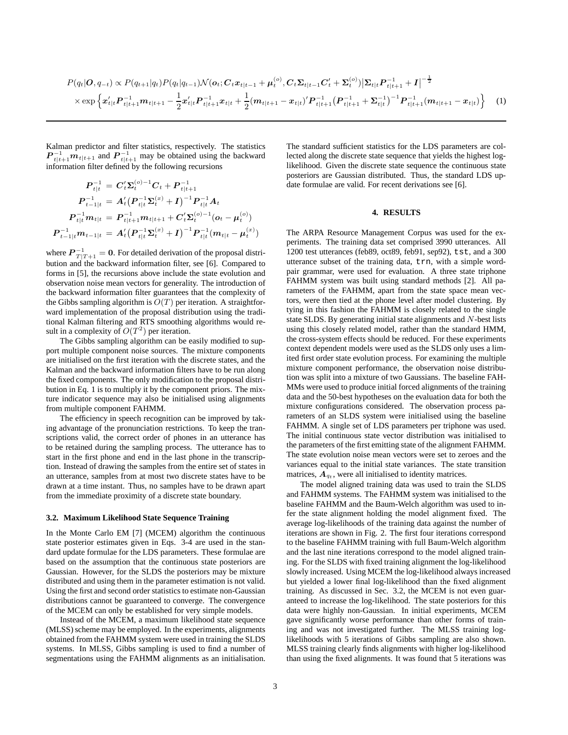$$
P(q_t|\boldsymbol{O}, q_{-t}) \propto P(q_{t+1}|q_t)P(q_t|q_{t-1})\mathcal{N}(\boldsymbol{o}_t; \boldsymbol{C}_t \boldsymbol{x}_{t|t-1} + \boldsymbol{\mu}_t^{(o)}, \boldsymbol{C}_t \boldsymbol{\Sigma}_{t|t-1} \boldsymbol{C}_t' + \boldsymbol{\Sigma}_t^{(o)}) |\boldsymbol{\Sigma}_{t|t} P_{t|t+1}^{-1} + I|^{-\frac{1}{2}} \times \exp\left\{\boldsymbol{x}_{t|t}'\boldsymbol{P}_{t|t+1}^{-1}\boldsymbol{m}_{t|t+1} - \frac{1}{2}\boldsymbol{x}_{t|t}'\boldsymbol{P}_{t|t+1}^{-1}\boldsymbol{x}_{t|t} + \frac{1}{2}(\boldsymbol{m}_{t|t+1} - \boldsymbol{x}_{t|t})'\boldsymbol{P}_{t|t+1}^{-1}(\boldsymbol{P}_{t|t+1}^{-1} + \boldsymbol{\Sigma}_{t|t}^{-1})^{-1}\boldsymbol{P}_{t|t+1}^{-1}(\boldsymbol{m}_{t|t+1} - \boldsymbol{x}_{t|t})\right\}
$$
(1)

Kalman predictor and filter statistics, respectively. The statistics  $P_{t|t+1}^{-1}m_{t|t+1}$  and  $P_{t|t+1}^{-1}$  may be obtained using the backward information filter defined by the following recursions

$$
\begin{aligned} \boldsymbol{P}_{t|t}^{-1} &= \boldsymbol{C}_t'\boldsymbol{\Sigma}_t^{(o)-1}\boldsymbol{C}_t + \boldsymbol{P}_{t|t+1}^{-1} \\ \boldsymbol{P}_{t-1|t}^{-1} &= \boldsymbol{A}_t' \big(\boldsymbol{P}_{t|t}^{-1}\boldsymbol{\Sigma}_t^{(x)} + \boldsymbol{I}\big)^{-1}\boldsymbol{P}_{t|t}^{-1}\boldsymbol{A}_t \\ \boldsymbol{P}_{t|t}^{-1} \boldsymbol{m}_{t|t} &= \boldsymbol{P}_{t|t+1}^{-1}\boldsymbol{m}_{t|t+1} + \boldsymbol{C}_t' \boldsymbol{\Sigma}_t^{(o)-1} (\boldsymbol{o}_t - \boldsymbol{\mu}_t^{(o)}) \\ \boldsymbol{P}_{t-1|t}^{-1} \boldsymbol{m}_{t-1|t} &= \boldsymbol{A}_t' \big(\boldsymbol{P}_{t|t}^{-1}\boldsymbol{\Sigma}_t^{(x)} + \boldsymbol{I}\big)^{-1}\boldsymbol{P}_{t|t}^{-1} (\boldsymbol{m}_{t|t} - \boldsymbol{\mu}_t^{(x)}) \end{aligned}
$$

where  $\boldsymbol{P}_{T|T+1}^{-1} = \boldsymbol{0}$ . For detailed derivation of the proposal distribution and the backward information filter, see [6]. Compared to forms in [5], the recursions above include the state evolution and observation noise mean vectors for generality. The introduction of the backward information filter guarantees that the complexity of the Gibbs sampling algorithm is  $O(T)$  per iteration. A straightforward implementation of the proposal distribution using the traditional Kalman filtering and RTS smoothing algorithms would result in a complexity of  $O(T^2)$  per iteration.

The Gibbs sampling algorithm can be easily modified to support multiple component noise sources. The mixture components are initialised on the first iteration with the discrete states, and the Kalman and the backward information filters have to be run along the fixed components. The only modification to the proposal distribution in Eq. 1 is to multiply it by the component priors. The mixture indicator sequence may also be initialised using alignments from multiple component FAHMM.

The efficiency in speech recognition can be improved by taking advantage of the pronunciation restrictions. To keep the transcriptions valid, the correct order of phones in an utterance has to be retained during the sampling process. The utterance has to start in the first phone and end in the last phone in the transcription. Instead of drawing the samples from the entire set of states in an utterance, samples from at most two discrete states have to be drawn at a time instant. Thus, no samples have to be drawn apart from the immediate proximity of a discrete state boundary.

#### **3.2. Maximum Likelihood State Sequence Training**

In the Monte Carlo EM [7] (MCEM) algorithm the continuous state posterior estimates given in Eqs. 3-4 are used in the standard update formulae for the LDS parameters. These formulae are based on the assumption that the continuous state posteriors are Gaussian. However, for the SLDS the posteriors may be mixture distributed and using them in the parameter estimation is not valid. Using the first and second order statistics to estimate non-Gaussian distributions cannot be guaranteed to converge. The convergence of the MCEM can only be established for very simple models.

Instead of the MCEM, a maximum likelihood state sequence (MLSS) scheme may be employed. In the experiments, alignments obtained from the FAHMM system were used in training the SLDS systems. In MLSS, Gibbs sampling is used to find a number of segmentations using the FAHMM alignments as an initialisation. The standard sufficient statistics for the LDS parameters are collected along the discrete state sequence that yields the highest loglikelihood. Given the discrete state sequence the continuous state posteriors are Gaussian distributed. Thus, the standard LDS update formulae are valid. For recent derivations see [6].

# **4. RESULTS**

The ARPA Resource Management Corpus was used for the experiments. The training data set comprised 3990 utterances. All 1200 test utterances (feb89, oct89, feb91, sep92), tst, and a 300 utterance subset of the training data, trn, with a simple wordpair grammar, were used for evaluation. A three state triphone FAHMM system was built using standard methods [2]. All parameters of the FAHMM, apart from the state space mean vectors, were then tied at the phone level after model clustering. By tying in this fashion the FAHMM is closely related to the single state SLDS. By generating initial state alignments and N-best lists using this closely related model, rather than the standard HMM, the cross-system effects should be reduced. For these experiments context dependent models were used as the SLDS only uses a limited first order state evolution process. For examining the multiple mixture component performance, the observation noise distribution was split into a mixture of two Gaussians. The baseline FAH-MMs were used to produce initial forced alignments of the training data and the 50-best hypotheses on the evaluation data for both the mixture configurations considered. The observation process parameters of an SLDS system were initialised using the baseline FAHMM. A single set of LDS parameters per triphone was used. The initial continuous state vector distribution was initialised to the parameters of the first emitting state of the alignment FAHMM. The state evolution noise mean vectors were set to zeroes and the variances equal to the initial state variances. The state transition matrices,  $A_{qt}$ , were all initialised to identity matrices.

The model aligned training data was used to train the SLDS and FAHMM systems. The FAHMM system was initialised to the baseline FAHMM and the Baum-Welch algorithm was used to infer the state alignment holding the model alignment fixed. The average log-likelihoods of the training data against the number of iterations are shown in Fig. 2. The first four iterations correspond to the baseline FAHMM training with full Baum-Welch algorithm and the last nine iterations correspond to the model aligned training. For the SLDS with fixed training alignment the log-likelihood slowly increased. Using MCEM the log-likelihood always increased but yielded a lower final log-likelihood than the fixed alignment training. As discussed in Sec. 3.2, the MCEM is not even guaranteed to increase the log-likelihood. The state posteriors for this data were highly non-Gaussian. In initial experiments, MCEM gave significantly worse performance than other forms of training and was not investigated further. The MLSS training loglikelihoods with 5 iterations of Gibbs sampling are also shown. MLSS training clearly finds alignments with higher log-likelihood than using the fixed alignments. It was found that 5 iterations was